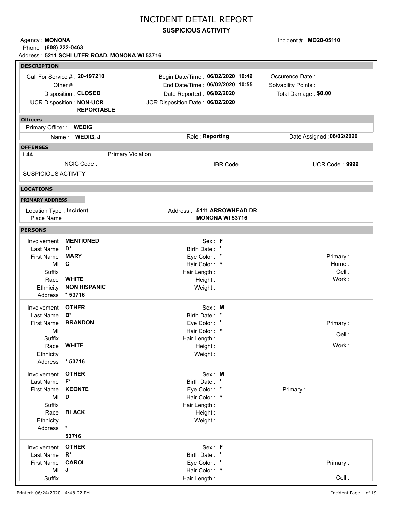### **SUSPICIOUS ACTIVITY**

Agency: **MONONA** Phone : **(608) 222-0463** Incident # : **MO20-05110**

|                                        |                                 | Address: 5211 SCHLUTER ROAD, MONONA WI 53716         |                            |
|----------------------------------------|---------------------------------|------------------------------------------------------|----------------------------|
| <b>DESCRIPTION</b>                     |                                 |                                                      |                            |
|                                        | Call For Service #: 20-197210   | Begin Date/Time: 06/02/2020 10:49                    | Occurence Date:            |
|                                        | Other $#$ :                     | End Date/Time: 06/02/2020 10:55                      | Solvability Points:        |
|                                        | Disposition: CLOSED             | Date Reported: 06/02/2020                            | Total Damage: \$0.00       |
|                                        | <b>UCR Disposition: NON-UCR</b> | UCR Disposition Date: 06/02/2020                     |                            |
|                                        | <b>REPORTABLE</b>               |                                                      |                            |
| <b>Officers</b>                        |                                 |                                                      |                            |
| Primary Officer: WEDIG                 |                                 |                                                      |                            |
|                                        | Name: WEDIG, J                  | Role: Reporting                                      | Date Assigned : 06/02/2020 |
| <b>OFFENSES</b>                        |                                 |                                                      |                            |
| L44                                    |                                 | <b>Primary Violation</b>                             |                            |
|                                        | NCIC Code:                      | IBR Code:                                            | UCR Code: 9999             |
|                                        |                                 |                                                      |                            |
| <b>SUSPICIOUS ACTIVITY</b>             |                                 |                                                      |                            |
| <b>LOCATIONS</b>                       |                                 |                                                      |                            |
| <b>PRIMARY ADDRESS</b>                 |                                 |                                                      |                            |
|                                        |                                 |                                                      |                            |
| Location Type: Incident<br>Place Name: |                                 | Address: 5111 ARROWHEAD DR<br><b>MONONA WI 53716</b> |                            |
|                                        |                                 |                                                      |                            |
| <b>PERSONS</b>                         |                                 |                                                      |                            |
|                                        | Involvement : MENTIONED         | Sex: F                                               |                            |
| Last Name: D*                          |                                 | Birth Date: *                                        |                            |
| First Name: MARY                       |                                 | Eye Color: *                                         | Primary:                   |
| MI: C                                  |                                 | Hair Color: *                                        | Home:                      |
| Suffix:                                |                                 | Hair Length:                                         | Cell:                      |
|                                        | Race: WHITE                     | Height:                                              | Work:                      |
|                                        | Ethnicity: NON HISPANIC         | Weight:                                              |                            |
| Address: * 53716                       |                                 |                                                      |                            |
| Involvement: OTHER                     |                                 | Sex: M                                               |                            |
| Last Name: B*                          |                                 | Birth Date: *                                        |                            |
|                                        | First Name: BRANDON             | Eye Color: *                                         | Primary:                   |
| MI:                                    |                                 | Hair Color: *                                        | Cell:                      |
| Suffix:                                |                                 | Hair Length:                                         |                            |
|                                        | Race: WHITE                     | Height:                                              | Work:                      |
| Ethnicity:<br>Address: * 53716         |                                 | Weight:                                              |                            |
|                                        |                                 |                                                      |                            |
| Involvement : OTHER                    |                                 | Sex: M                                               |                            |
| Last Name: F*                          |                                 | Birth Date: *                                        |                            |
| First Name: KEONTE                     |                                 | Eye Color: *                                         | Primary:                   |
| MI: D                                  |                                 | Hair Color: *                                        |                            |
| Suffix:                                |                                 | Hair Length:                                         |                            |
|                                        | Race: BLACK                     | Height:                                              |                            |
| Ethnicity:                             |                                 | Weight:                                              |                            |
| Address: *                             | 53716                           |                                                      |                            |
|                                        |                                 |                                                      |                            |
| Involvement : OTHER                    |                                 | Sex: F                                               |                            |
| Last Name: R*                          |                                 | Birth Date: *                                        |                            |
| First Name: CAROL                      |                                 | Eye Color: *                                         | Primary:                   |
| $MI:$ J                                |                                 | Hair Color: *                                        | Cell:                      |
| Suffix:                                |                                 | Hair Length:                                         |                            |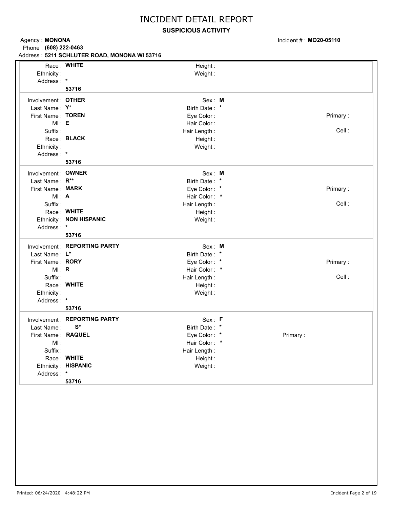### **SUSPICIOUS ACTIVITY**

Incident # : **MO20-05110**

Agency: **MONONA 5211 SCHLUTER ROAD, MONONA WI 53716** Address : Phone : **(608) 222-0463**

|                     | Race: WHITE                   | Height:       |          |
|---------------------|-------------------------------|---------------|----------|
| Ethnicity:          |                               | Weight:       |          |
| Address: *          |                               |               |          |
|                     | 53716                         |               |          |
| Involvement : OTHER |                               | Sex: M        |          |
| Last Name: Y*       |                               | Birth Date: * |          |
| First Name: TOREN   |                               | Eye Color:    | Primary: |
| MI: E               |                               | Hair Color:   |          |
| Suffix:             |                               | Hair Length:  | Cell:    |
|                     | Race: BLACK                   | Height:       |          |
| Ethnicity:          |                               | Weight:       |          |
| Address: *          |                               |               |          |
|                     | 53716                         |               |          |
| Involvement: OWNER  |                               | Sex: M        |          |
| Last Name: R**      |                               | Birth Date: * |          |
| First Name: MARK    |                               | Eye Color: *  | Primary: |
| MI: A               |                               | Hair Color: * |          |
| Suffix:             |                               | Hair Length:  | Cell:    |
|                     | Race: WHITE                   | Height:       |          |
|                     | Ethnicity: NON HISPANIC       | Weight:       |          |
| Address: *          |                               |               |          |
|                     | 53716                         |               |          |
|                     | Involvement: REPORTING PARTY  | Sex: M        |          |
| Last Name: L*       |                               | Birth Date: * |          |
| First Name: RORY    |                               | Eye Color: *  | Primary: |
| MI: R               |                               | Hair Color: * |          |
| Suffix:             |                               | Hair Length:  | Cell:    |
|                     | Race: WHITE                   | Height:       |          |
| Ethnicity:          |                               | Weight:       |          |
| Address: *          |                               |               |          |
|                     | 53716                         |               |          |
|                     | Involvement : REPORTING PARTY | Sex: F        |          |
| Last Name:          | S*                            | Birth Date: * |          |
| First Name: RAQUEL  |                               | Eye Color: *  | Primary: |
| MI:                 |                               | Hair Color: * |          |
| Suffix:             |                               | Hair Length:  |          |
|                     | Race: WHITE                   | Height:       |          |
|                     | Ethnicity: HISPANIC           | Weight:       |          |
| Address: *          |                               |               |          |
|                     | 53716                         |               |          |
|                     |                               |               |          |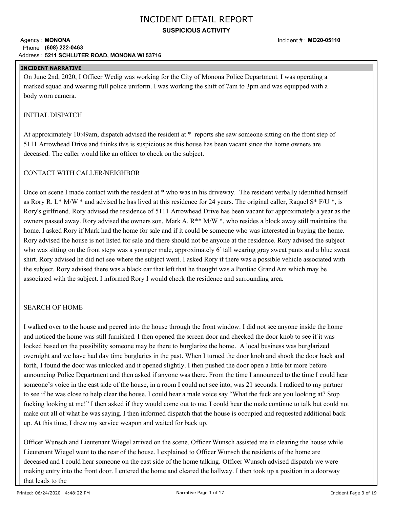### **SUSPICIOUS ACTIVITY**

#### Agency: **MONONA 5211 SCHLUTER ROAD, MONONA WI 53716** Address : Phone : **(608) 222-0463**

### **INCIDENT NARRATIVE**

On June 2nd, 2020, I Officer Wedig was working for the City of Monona Police Department. I was operating a marked squad and wearing full police uniform. I was working the shift of 7am to 3pm and was equipped with a body worn camera.

### INITIAL DISPATCH

At approximately 10:49am, dispatch advised the resident at \* reports she saw someone sitting on the front step of 5111 Arrowhead Drive and thinks this is suspicious as this house has been vacant since the home owners are deceased. The caller would like an officer to check on the subject.

### CONTACT WITH CALLER/NEIGHBOR

Once on scene I made contact with the resident at \* who was in his driveway. The resident verbally identified himself as Rory R. L<sup>\*</sup> M/W  $*$  and advised he has lived at this residence for 24 years. The original caller, Raquel S $*$  F/U  $*$ , is Rory's girlfriend. Rory advised the residence of 5111 Arrowhead Drive has been vacant for approximately a year as the owners passed away. Rory advised the owners son, Mark A. R\*\* M/W \*, who resides a block away still maintains the home. I asked Rory if Mark had the home for sale and if it could be someone who was interested in buying the home. Rory advised the house is not listed for sale and there should not be anyone at the residence. Rory advised the subject who was sitting on the front steps was a younger male, approximately 6' tall wearing gray sweat pants and a blue sweat shirt. Rory advised he did not see where the subject went. I asked Rory if there was a possible vehicle associated with the subject. Rory advised there was a black car that left that he thought was a Pontiac Grand Am which may be associated with the subject. I informed Rory I would check the residence and surrounding area.

### SEARCH OF HOME

I walked over to the house and peered into the house through the front window. I did not see anyone inside the home and noticed the home was still furnished. I then opened the screen door and checked the door knob to see if it was locked based on the possibility someone may be there to burglarize the home. A local business was burglarized overnight and we have had day time burglaries in the past. When I turned the door knob and shook the door back and forth, I found the door was unlocked and it opened slightly. I then pushed the door open a little bit more before announcing Police Department and then asked if anyone was there. From the time I announced to the time I could hear someone's voice in the east side of the house, in a room I could not see into, was 21 seconds. I radioed to my partner to see if he was close to help clear the house. I could hear a male voice say "What the fuck are you looking at? Stop fucking looking at me!" I then asked if they would come out to me. I could hear the male continue to talk but could not make out all of what he was saying. I then informed dispatch that the house is occupied and requested additional back up. At this time, I drew my service weapon and waited for back up.

Officer Wunsch and Lieutenant Wiegel arrived on the scene. Officer Wunsch assisted me in clearing the house while Lieutenant Wiegel went to the rear of the house. I explained to Officer Wunsch the residents of the home are deceased and I could hear someone on the east side of the home talking. Officer Wunsch advised dispatch we were making entry into the front door. I entered the home and cleared the hallway. I then took up a position in a doorway that leads to the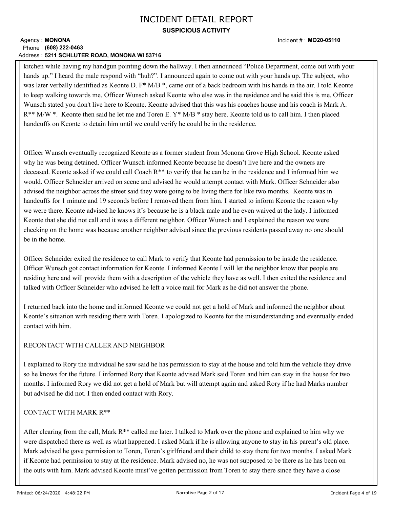### **SUSPICIOUS ACTIVITY**

#### Agency: **MONONA 5211 SCHLUTER ROAD, MONONA WI 53716** Address : Phone : **(608) 222-0463**

kitchen while having my handgun pointing down the hallway. I then announced "Police Department, come out with your hands up." I heard the male respond with "huh?". I announced again to come out with your hands up. The subject, who was later verbally identified as Keonte D. F<sup>\*</sup> M/B <sup>\*</sup>, came out of a back bedroom with his hands in the air. I told Keonte to keep walking towards me. Officer Wunsch asked Keonte who else was in the residence and he said this is me. Officer Wunsch stated you don't live here to Keonte. Keonte advised that this was his coaches house and his coach is Mark A.  $R^{**}$  M/W  $*$ . Keonte then said he let me and Toren E.  $Y^*$  M/B  $*$  stay here. Keonte told us to call him. I then placed handcuffs on Keonte to detain him until we could verify he could be in the residence.

Officer Wunsch eventually recognized Keonte as a former student from Monona Grove High School. Keonte asked why he was being detained. Officer Wunsch informed Keonte because he doesn't live here and the owners are deceased. Keonte asked if we could call Coach R\*\* to verify that he can be in the residence and I informed him we would. Officer Schneider arrived on scene and advised he would attempt contact with Mark. Officer Schneider also advised the neighbor across the street said they were going to be living there for like two months. Keonte was in handcuffs for 1 minute and 19 seconds before I removed them from him. I started to inform Keonte the reason why we were there. Keonte advised he knows it's because he is a black male and he even waived at the lady. I informed Keonte that she did not call and it was a different neighbor. Officer Wunsch and I explained the reason we were checking on the home was because another neighbor advised since the previous residents passed away no one should be in the home.

Officer Schneider exited the residence to call Mark to verify that Keonte had permission to be inside the residence. Officer Wunsch got contact information for Keonte. I informed Keonte I will let the neighbor know that people are residing here and will provide them with a description of the vehicle they have as well. I then exited the residence and talked with Officer Schneider who advised he left a voice mail for Mark as he did not answer the phone.

I returned back into the home and informed Keonte we could not get a hold of Mark and informed the neighbor about Keonte's situation with residing there with Toren. I apologized to Keonte for the misunderstanding and eventually ended contact with him.

### RECONTACT WITH CALLER AND NEIGHBOR

I explained to Rory the individual he saw said he has permission to stay at the house and told him the vehicle they drive so he knows for the future. I informed Rory that Keonte advised Mark said Toren and him can stay in the house for two months. I informed Rory we did not get a hold of Mark but will attempt again and asked Rory if he had Marks number but advised he did not. I then ended contact with Rory.

### CONTACT WITH MARK R\*\*

After clearing from the call, Mark R\*\* called me later. I talked to Mark over the phone and explained to him why we were dispatched there as well as what happened. I asked Mark if he is allowing anyone to stay in his parent's old place. Mark advised he gave permission to Toren, Toren's girlfriend and their child to stay there for two months. I asked Mark if Keonte had permission to stay at the residence. Mark advised no, he was not supposed to be there as he has been on the outs with him. Mark advised Keonte must've gotten permission from Toren to stay there since they have a close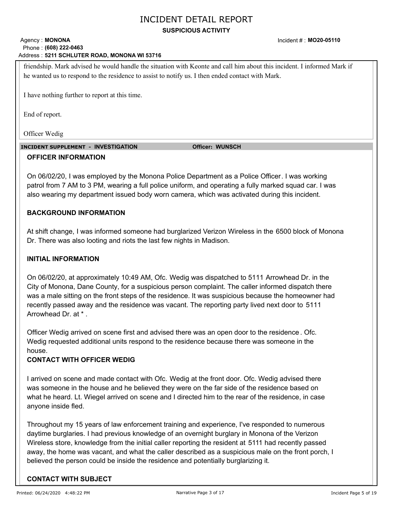### **SUSPICIOUS ACTIVITY**

#### Agency: **MONONA 5211 SCHLUTER ROAD, MONONA WI 53716** Address : Phone : **(608) 222-0463**

friendship. Mark advised he would handle the situation with Keonte and call him about this incident. I informed Mark if he wanted us to respond to the residence to assist to notify us. I then ended contact with Mark.

I have nothing further to report at this time.

End of report.

Officer Wedig

 **INCIDENT SUPPLEMENT - INVESTIGATION Officer: WUNSCH**

### **OFFICER INFORMATION**

On 06/02/20, I was employed by the Monona Police Department as a Police Officer. I was working patrol from 7 AM to 3 PM, wearing a full police uniform, and operating a fully marked squad car. I was also wearing my department issued body worn camera, which was activated during this incident.

### **BACKGROUND INFORMATION**

At shift change, I was informed someone had burglarized Verizon Wireless in the 6500 block of Monona Dr. There was also looting and riots the last few nights in Madison.

### **INITIAL INFORMATION**

On 06/02/20, at approximately 10:49 AM, Ofc. Wedig was dispatched to 5111 Arrowhead Dr. in the City of Monona, Dane County, for a suspicious person complaint. The caller informed dispatch there was a male sitting on the front steps of the residence. It was suspicious because the homeowner had recently passed away and the residence was vacant. The reporting party lived next door to 5111 Arrowhead Dr. at \* .

Officer Wedig arrived on scene first and advised there was an open door to the residence . Ofc. Wedig requested additional units respond to the residence because there was someone in the house.

### **CONTACT WITH OFFICER WEDIG**

I arrived on scene and made contact with Ofc. Wedig at the front door. Ofc. Wedig advised there was someone in the house and he believed they were on the far side of the residence based on what he heard. Lt. Wiegel arrived on scene and I directed him to the rear of the residence, in case anyone inside fled.

Throughout my 15 years of law enforcement training and experience, I've responded to numerous daytime burglaries. I had previous knowledge of an overnight burglary in Monona of the Verizon Wireless store, knowledge from the initial caller reporting the resident at 5111 had recently passed away, the home was vacant, and what the caller described as a suspicious male on the front porch, I believed the person could be inside the residence and potentially burglarizing it.

### **CONTACT WITH SUBJECT**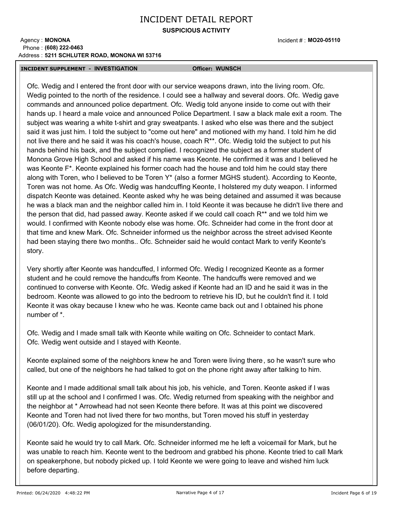### **SUSPICIOUS ACTIVITY**

#### Agency: **MONONA 5211 SCHLUTER ROAD, MONONA WI 53716** Address : Phone : **(608) 222-0463**

Incident # : **MO20-05110**

#### **INCIDENT SUPPLEMENT - INVESTIGATION Officer: WUNSCH**

Ofc. Wedig and I entered the front door with our service weapons drawn, into the living room. Ofc. Wedig pointed to the north of the residence. I could see a hallway and several doors. Ofc. Wedig gave commands and announced police department. Ofc. Wedig told anyone inside to come out with their hands up. I heard a male voice and announced Police Department. I saw a black male exit a room. The subject was wearing a white t-shirt and gray sweatpants. I asked who else was there and the subject said it was just him. I told the subject to "come out here" and motioned with my hand. I told him he did not live there and he said it was his coach's house, coach R\*\*. Ofc. Wedig told the subject to put his hands behind his back, and the subject complied. I recognized the subject as a former student of Monona Grove High School and asked if his name was Keonte. He confirmed it was and I believed he was Keonte F\*. Keonte explained his former coach had the house and told him he could stay there along with Toren, who I believed to be Toren Y\* (also a former MGHS student). According to Keonte, Toren was not home. As Ofc. Wedig was handcuffing Keonte, I holstered my duty weapon. I informed dispatch Keonte was detained. Keonte asked why he was being detained and assumed it was because he was a black man and the neighbor called him in. I told Keonte it was because he didn't live there and the person that did, had passed away. Keonte asked if we could call coach R\*\* and we told him we would. I confirmed with Keonte nobody else was home. Ofc. Schneider had come in the front door at that time and knew Mark. Ofc. Schneider informed us the neighbor across the street advised Keonte had been staying there two months.. Ofc. Schneider said he would contact Mark to verify Keonte's story.

Very shortly after Keonte was handcuffed, I informed Ofc. Wedig I recognized Keonte as a former student and he could remove the handcuffs from Keonte. The handcuffs were removed and we continued to converse with Keonte. Ofc. Wedig asked if Keonte had an ID and he said it was in the bedroom. Keonte was allowed to go into the bedroom to retrieve his ID, but he couldn't find it. I told Keonte it was okay because I knew who he was. Keonte came back out and I obtained his phone number of \*.

Ofc. Wedig and I made small talk with Keonte while waiting on Ofc. Schneider to contact Mark. Ofc. Wedig went outside and I stayed with Keonte.

Keonte explained some of the neighbors knew he and Toren were living there, so he wasn't sure who called, but one of the neighbors he had talked to got on the phone right away after talking to him.

Keonte and I made additional small talk about his job, his vehicle, and Toren. Keonte asked if I was still up at the school and I confirmed I was. Ofc. Wedig returned from speaking with the neighbor and the neighbor at \* Arrowhead had not seen Keonte there before. It was at this point we discovered Keonte and Toren had not lived there for two months, but Toren moved his stuff in yesterday (06/01/20). Ofc. Wedig apologized for the misunderstanding.

Keonte said he would try to call Mark. Ofc. Schneider informed me he left a voicemail for Mark, but he was unable to reach him. Keonte went to the bedroom and grabbed his phone. Keonte tried to call Mark on speakerphone, but nobody picked up. I told Keonte we were going to leave and wished him luck before departing.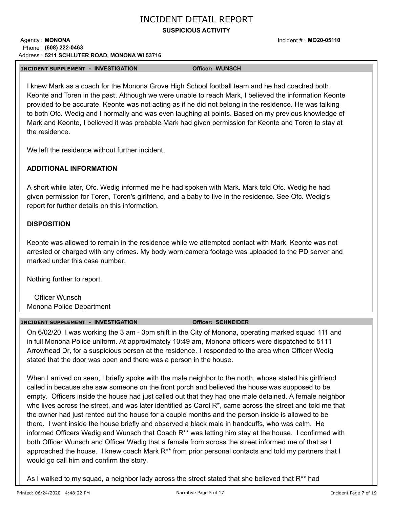### **SUSPICIOUS ACTIVITY**

#### Agency: **MONONA 5211 SCHLUTER ROAD, MONONA WI 53716** Address : Phone : **(608) 222-0463**

Incident # : **MO20-05110**

#### **INCIDENT SUPPLEMENT - INVESTIGATION Officer: WUNSCH**

I knew Mark as a coach for the Monona Grove High School football team and he had coached both Keonte and Toren in the past. Although we were unable to reach Mark, I believed the information Keonte provided to be accurate. Keonte was not acting as if he did not belong in the residence. He was talking to both Ofc. Wedig and I normally and was even laughing at points. Based on my previous knowledge of Mark and Keonte, I believed it was probable Mark had given permission for Keonte and Toren to stay at the residence.

We left the residence without further incident

### **ADDITIONAL INFORMATION**

A short while later, Ofc. Wedig informed me he had spoken with Mark. Mark told Ofc. Wedig he had given permission for Toren, Toren's girlfriend, and a baby to live in the residence. See Ofc. Wedig's report for further details on this information.

### **DISPOSITION**

Keonte was allowed to remain in the residence while we attempted contact with Mark. Keonte was not arrested or charged with any crimes. My body worn camera footage was uploaded to the PD server and marked under this case number.

Nothing further to report.

Officer Wunsch Monona Police Department

#### **INCIDENT SUPPLEMENT - INVESTIGATION Officer: SCHNEIDER**

On 6/02/20, I was working the 3 am - 3pm shift in the City of Monona, operating marked squad 111 and in full Monona Police uniform. At approximately 10:49 am, Monona officers were dispatched to 5111 Arrowhead Dr, for a suspicious person at the residence. I responded to the area when Officer Wedig stated that the door was open and there was a person in the house.

When I arrived on seen, I briefly spoke with the male neighbor to the north, whose stated his girlfriend called in because she saw someone on the front porch and believed the house was supposed to be empty. Officers inside the house had just called out that they had one male detained. A female neighbor who lives across the street, and was later identified as Carol R<sup>\*</sup>, came across the street and told me that the owner had just rented out the house for a couple months and the person inside is allowed to be there. I went inside the house briefly and observed a black male in handcuffs, who was calm. He informed Officers Wedig and Wunsch that Coach R\*\* was letting him stay at the house. I confirmed with both Officer Wunsch and Officer Wedig that a female from across the street informed me of that as I approached the house. I knew coach Mark R<sup>\*\*</sup> from prior personal contacts and told my partners that I would go call him and confirm the story.

As I walked to my squad, a neighbor lady across the street stated that she believed that R<sup>\*\*</sup> had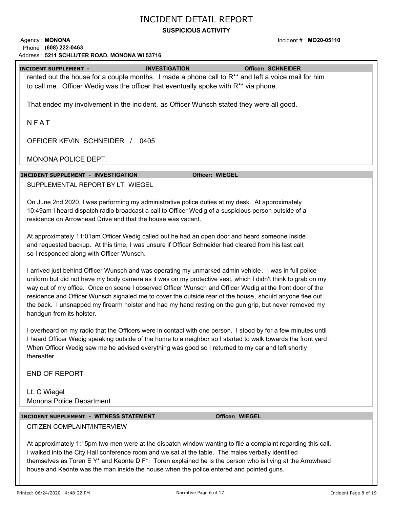### **SUSPICIOUS ACTIVITY**

Agency: **MONONA 5211 SCHLUTER ROAD, MONONA WI 53716** Phone : **(608) 222-0463** Address :

Incident # : **MO20-05110**

| Address : 5211 SCHLUTER ROAD, MONONA WI 53716                                                             |                                                                                                                |  |  |
|-----------------------------------------------------------------------------------------------------------|----------------------------------------------------------------------------------------------------------------|--|--|
| <b>INCIDENT SUPPLEMENT -</b>                                                                              | <b>INVESTIGATION</b><br><b>Officer: SCHNEIDER</b>                                                              |  |  |
|                                                                                                           | rented out the house for a couple months. I made a phone call to R <sup>**</sup> and left a voice mail for him |  |  |
|                                                                                                           | to call me. Officer Wedig was the officer that eventually spoke with R <sup>**</sup> via phone.                |  |  |
|                                                                                                           |                                                                                                                |  |  |
|                                                                                                           | That ended my involvement in the incident, as Officer Wunsch stated they were all good.                        |  |  |
|                                                                                                           |                                                                                                                |  |  |
| NFAT                                                                                                      |                                                                                                                |  |  |
|                                                                                                           |                                                                                                                |  |  |
| OFFICER KEVIN SCHNEIDER / 0405                                                                            |                                                                                                                |  |  |
|                                                                                                           |                                                                                                                |  |  |
| MONONA POLICE DEPT.                                                                                       |                                                                                                                |  |  |
|                                                                                                           |                                                                                                                |  |  |
| INCIDENT SUPPLEMENT - INVESTIGATION                                                                       | <b>Officer: WIEGEL</b>                                                                                         |  |  |
| SUPPLEMENTAL REPORT BY LT. WIEGEL                                                                         |                                                                                                                |  |  |
|                                                                                                           |                                                                                                                |  |  |
|                                                                                                           | On June 2nd 2020, I was performing my administrative police duties at my desk. At approximately                |  |  |
|                                                                                                           | 10:49am I heard dispatch radio broadcast a call to Officer Wedig of a suspicious person outside of a           |  |  |
| residence on Arrowhead Drive and that the house was vacant.                                               |                                                                                                                |  |  |
|                                                                                                           |                                                                                                                |  |  |
|                                                                                                           | At approximately 11:01am Officer Wedig called out he had an open door and heard someone inside                 |  |  |
|                                                                                                           | and requested backup. At this time, I was unsure if Officer Schneider had cleared from his last call,          |  |  |
| so I responded along with Officer Wunsch.                                                                 |                                                                                                                |  |  |
|                                                                                                           |                                                                                                                |  |  |
|                                                                                                           | I arrived just behind Officer Wunsch and was operating my unmarked admin vehicle. I was in full police         |  |  |
|                                                                                                           | uniform but did not have my body camera as it was on my protective vest, which I didn't think to grab on my    |  |  |
|                                                                                                           | way out of my office. Once on scene I observed Officer Wunsch and Officer Wedig at the front door of the       |  |  |
|                                                                                                           | residence and Officer Wunsch signaled me to cover the outside rear of the house, should anyone flee out        |  |  |
|                                                                                                           | the back. I unsnapped my firearm holster and had my hand resting on the gun grip, but never removed my         |  |  |
| handgun from its holster.                                                                                 |                                                                                                                |  |  |
|                                                                                                           |                                                                                                                |  |  |
|                                                                                                           | I overheard on my radio that the Officers were in contact with one person. I stood by for a few minutes until  |  |  |
|                                                                                                           | I heard Officer Wedig speaking outside of the home to a neighbor so I started to walk towards the front yard.  |  |  |
|                                                                                                           | When Officer Wedig saw me he advised everything was good so I returned to my car and left shortly              |  |  |
| thereafter.                                                                                               |                                                                                                                |  |  |
|                                                                                                           |                                                                                                                |  |  |
| <b>END OF REPORT</b>                                                                                      |                                                                                                                |  |  |
|                                                                                                           |                                                                                                                |  |  |
| Lt. C Wiegel                                                                                              |                                                                                                                |  |  |
| Monona Police Department                                                                                  |                                                                                                                |  |  |
|                                                                                                           |                                                                                                                |  |  |
| <b>INCIDENT SUPPLEMENT - WITNESS STATEMENT</b>                                                            | Officer: WIEGEL                                                                                                |  |  |
| CITIZEN COMPLAINT/INTERVIEW                                                                               |                                                                                                                |  |  |
|                                                                                                           |                                                                                                                |  |  |
|                                                                                                           | At approximately 1:15pm two men were at the dispatch window wanting to file a complaint regarding this call.   |  |  |
| I walked into the City Hall conference room and we sat at the table. The males verbally identified        |                                                                                                                |  |  |
| themselves as Toren E Y* and Keonte D F*. Toren explained he is the person who is living at the Arrowhead |                                                                                                                |  |  |
| house and Keonte was the man inside the house when the police entered and pointed guns.                   |                                                                                                                |  |  |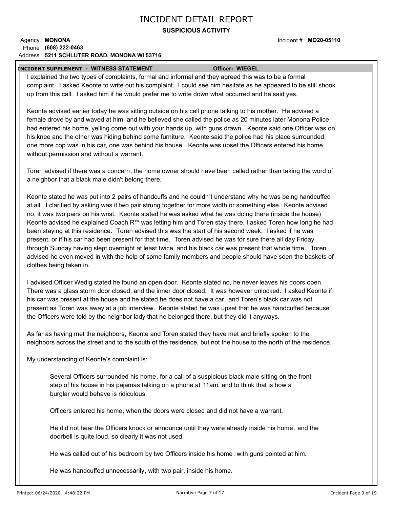### **SUSPICIOUS ACTIVITY**

#### Agency: **MONONA 5211 SCHLUTER ROAD, MONONA WI 53716** Address : Phone : **(608) 222-0463**

Incident # : **MO20-05110**

#### **INCIDENT SUPPLEMENT - WITNESS STATEMENT Officer: WIEGEL**

I explained the two types of complaints, formal and informal and they agreed this was to be a formal complaint. I asked Keonte to write out his complaint. I could see him hesitate as he appeared to be still shook up from this call. I asked him if he would prefer me to write down what occurred and he said yes.

Keonte advised earlier today he was sitting outside on his cell phone talking to his mother. He advised a female drove by and waved at him, and he believed she called the police as 20 minutes later Monona Police had entered his home, yelling come out with your hands up, with guns drawn. Keonte said one Officer was on his knee and the other was hiding behind some furniture. Keonte said the police had his place surrounded, one more cop was in his car, one was behind his house. Keonte was upset the Officers entered his home without permission and without a warrant.

Toren advised if there was a concern, the home owner should have been called rather than taking the word of a neighbor that a black male didn't belong there.

Keonte stated he was put into 2 pairs of handcuffs and he couldn't understand why he was being handcuffed at all. I clarified by asking was it two pair strung together for more width or something else. Keonte advised no, it was two pairs on his wrist. Keonte stated he was asked what he was doing there (inside the house) Keonte advised he explained Coach R\*\* was letting him and Toren stay there. I asked Toren how long he had been staying at this residence. Toren advised this was the start of his second week. I asked if he was present, or if his car had been present for that time. Toren advised he was for sure there all day Friday through Sunday having slept overnight at least twice, and his black car was present that whole time. Toren advised he even moved in with the help of some family members and people should have seen the baskets of clothes being taken in.

I advised Officer Wedig stated he found an open door. Keonte stated no, he never leaves his doors open. There was a glass storm door closed, and the inner door closed. It was however unlocked. I asked Keonte if his car was present at the house and he stated he does not have a car, and Toren's black car was not present as Toren was away at a job interview. Keonte stated he was upset that he was handcuffed because the Officers were told by the neighbor lady that he belonged there, but they did it anyways.

As far as having met the neighbors, Keonte and Toren stated they have met and briefly spoken to the neighbors across the street and to the south of the residence, but not the house to the north of the residence.

My understanding of Keonte's complaint is:

Several Officers surrounded his home, for a call of a suspicious black male sitting on the front step of his house in his pajamas talking on a phone at 11am, and to think that is how a burglar would behave is ridiculous.

Officers entered his home, when the doors were closed and did not have a warrant.

He did not hear the Officers knock or announce until they were already inside his home , and the doorbell is quite loud, so clearly it was not used.

He was called out of his bedroom by two Officers inside his home. with guns pointed at him.

He was handcuffed unnecessarily, with two pair, inside his home.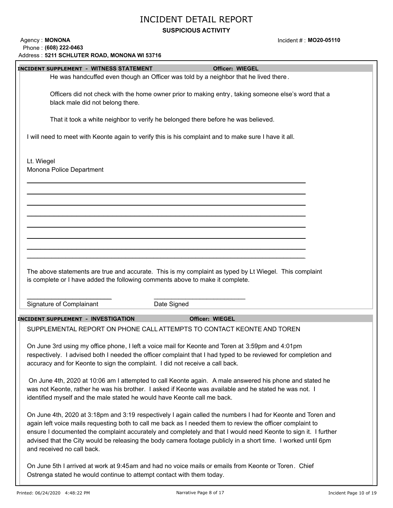### **SUSPICIOUS ACTIVITY**

Incident # : **MO20-05110**

| Address: 5211 SCHLUTER ROAD, MONONA WI 53716                                                                                                                                                                                                                                                                                                                                                                                                                                               |
|--------------------------------------------------------------------------------------------------------------------------------------------------------------------------------------------------------------------------------------------------------------------------------------------------------------------------------------------------------------------------------------------------------------------------------------------------------------------------------------------|
| <b>INCIDENT SUPPLEMENT - WITNESS STATEMENT</b><br><b>Officer: WIEGEL</b>                                                                                                                                                                                                                                                                                                                                                                                                                   |
| He was handcuffed even though an Officer was told by a neighbor that he lived there.                                                                                                                                                                                                                                                                                                                                                                                                       |
| Officers did not check with the home owner prior to making entry, taking someone else's word that a<br>black male did not belong there.                                                                                                                                                                                                                                                                                                                                                    |
| That it took a white neighbor to verify he belonged there before he was believed.                                                                                                                                                                                                                                                                                                                                                                                                          |
| I will need to meet with Keonte again to verify this is his complaint and to make sure I have it all.                                                                                                                                                                                                                                                                                                                                                                                      |
| Lt. Wiegel<br>Monona Police Department                                                                                                                                                                                                                                                                                                                                                                                                                                                     |
|                                                                                                                                                                                                                                                                                                                                                                                                                                                                                            |
|                                                                                                                                                                                                                                                                                                                                                                                                                                                                                            |
|                                                                                                                                                                                                                                                                                                                                                                                                                                                                                            |
| The above statements are true and accurate. This is my complaint as typed by Lt Wiegel. This complaint                                                                                                                                                                                                                                                                                                                                                                                     |
| is complete or I have added the following comments above to make it complete.                                                                                                                                                                                                                                                                                                                                                                                                              |
| Signature of Complainant<br>Date Signed                                                                                                                                                                                                                                                                                                                                                                                                                                                    |
| <b>INCIDENT SUPPLEMENT - INVESTIGATION</b><br><b>Officer: WIEGEL</b>                                                                                                                                                                                                                                                                                                                                                                                                                       |
| SUPPLEMENTAL REPORT ON PHONE CALL ATTEMPTS TO CONTACT KEONTE AND TOREN                                                                                                                                                                                                                                                                                                                                                                                                                     |
| On June 3rd using my office phone, I left a voice mail for Keonte and Toren at 3:59pm and 4:01pm<br>respectively. I advised both I needed the officer complaint that I had typed to be reviewed for completion and<br>accuracy and for Keonte to sign the complaint. I did not receive a call back.                                                                                                                                                                                        |
| On June 4th, 2020 at 10:06 am I attempted to call Keonte again. A male answered his phone and stated he<br>was not Keonte, rather he was his brother. I asked if Keonte was available and he stated he was not. I<br>identified myself and the male stated he would have Keonte call me back.                                                                                                                                                                                              |
| On June 4th, 2020 at 3:18pm and 3:19 respectively I again called the numbers I had for Keonte and Toren and<br>again left voice mails requesting both to call me back as I needed them to review the officer complaint to<br>ensure I documented the complaint accurately and completely and that I would need Keonte to sign it. I further<br>advised that the City would be releasing the body camera footage publicly in a short time. I worked until 6pm<br>and received no call back. |
| On June 5th I arrived at work at 9:45am and had no voice mails or emails from Keonte or Toren. Chief<br>Ostrenga stated he would continue to attempt contact with them today.                                                                                                                                                                                                                                                                                                              |

Agency: **MONONA** 

Phone : **(608) 222-0463**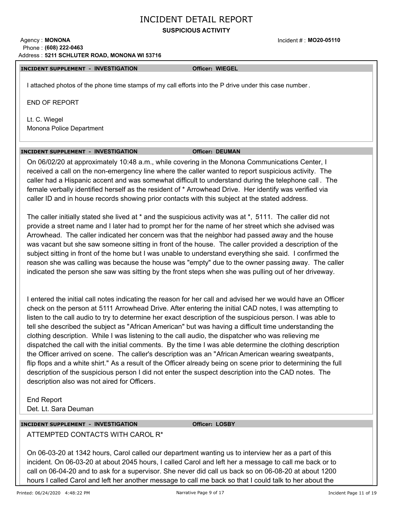### **SUSPICIOUS ACTIVITY**

#### Agency: **MONONA 5211 SCHLUTER ROAD, MONONA WI 53716** Address : Phone : **(608) 222-0463**

### **INCIDENT SUPPLEMENT - INVESTIGATION Officer: WIEGEL**

I attached photos of the phone time stamps of my call efforts into the P drive under this case number .

END OF REPORT

Lt. C. Wiegel Monona Police Department

#### **INCIDENT SUPPLEMENT - INVESTIGATION Officer: DEUMAN**

### On 06/02/20 at approximately 10:48 a.m., while covering in the Monona Communications Center, I received a call on the non-emergency line where the caller wanted to report suspicious activity. The caller had a Hispanic accent and was somewhat difficult to understand during the telephone call . The female verbally identified herself as the resident of \* Arrowhead Drive. Her identify was verified via caller ID and in house records showing prior contacts with this subject at the stated address.

The caller initially stated she lived at \* and the suspicious activity was at \*, 5111. The caller did not provide a street name and I later had to prompt her for the name of her street which she advised was Arrowhead. The caller indicated her concern was that the neighbor had passed away and the house was vacant but she saw someone sitting in front of the house. The caller provided a description of the subject sitting in front of the home but I was unable to understand everything she said. I confirmed the reason she was calling was because the house was "empty" due to the owner passing away. The caller indicated the person she saw was sitting by the front steps when she was pulling out of her driveway.

I entered the initial call notes indicating the reason for her call and advised her we would have an Officer check on the person at 5111 Arrowhead Drive. After entering the initial CAD notes, I was attempting to listen to the call audio to try to determine her exact description of the suspicious person. I was able to tell she described the subject as "African American" but was having a difficult time understanding the clothing description. While I was listening to the call audio, the dispatcher who was relieving me dispatched the call with the initial comments. By the time I was able determine the clothing description the Officer arrived on scene. The caller's description was an "African American wearing sweatpants, flip flops and a white shirt." As a result of the Officer already being on scene prior to determining the full description of the suspicious person I did not enter the suspect description into the CAD notes. The description also was not aired for Officers.

End Report Det. Lt. Sara Deuman

### **INCIDENT SUPPLEMENT - INVESTIGATION Officer: LOSBY**

ATTEMPTED CONTACTS WITH CAROL R\*

On 06-03-20 at 1342 hours, Carol called our department wanting us to interview her as a part of this incident. On 06-03-20 at about 2045 hours, I called Carol and left her a message to call me back or to call on 06-04-20 and to ask for a supervisor. She never did call us back so on 06-08-20 at about 1200 hours I called Carol and left her another message to call me back so that I could talk to her about the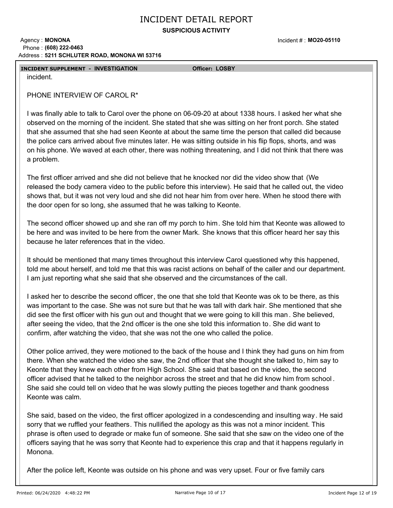**SUSPICIOUS ACTIVITY**

#### Agency: **MONONA 5211 SCHLUTER ROAD, MONONA WI 53716** Address : Phone : **(608) 222-0463**

Incident # : **MO20-05110**

### **INCIDENT SUPPLEMENT - INVESTIGATION Officer: LOSBY**

incident.

PHONE INTERVIEW OF CAROL R\*

I was finally able to talk to Carol over the phone on 06-09-20 at about 1338 hours. I asked her what she observed on the morning of the incident. She stated that she was sitting on her front porch. She stated that she assumed that she had seen Keonte at about the same time the person that called did because the police cars arrived about five minutes later. He was sitting outside in his flip flops, shorts, and was on his phone. We waved at each other, there was nothing threatening, and I did not think that there was a problem.

The first officer arrived and she did not believe that he knocked nor did the video show that (We released the body camera video to the public before this interview). He said that he called out, the video shows that, but it was not very loud and she did not hear him from over here. When he stood there with the door open for so long, she assumed that he was talking to Keonte.

The second officer showed up and she ran off my porch to him. She told him that Keonte was allowed to be here and was invited to be here from the owner Mark. She knows that this officer heard her say this because he later references that in the video.

It should be mentioned that many times throughout this interview Carol questioned why this happened, told me about herself, and told me that this was racist actions on behalf of the caller and our department. I am just reporting what she said that she observed and the circumstances of the call.

I asked her to describe the second officer, the one that she told that Keonte was ok to be there, as this was important to the case. She was not sure but that he was tall with dark hair. She mentioned that she did see the first officer with his gun out and thought that we were going to kill this man . She believed, after seeing the video, that the 2nd officer is the one she told this information to. She did want to confirm, after watching the video, that she was not the one who called the police.

Other police arrived, they were motioned to the back of the house and I think they had guns on him from there. When she watched the video she saw, the 2nd officer that she thought she talked to, him say to Keonte that they knew each other from High School. She said that based on the video, the second officer advised that he talked to the neighbor across the street and that he did know him from school . She said she could tell on video that he was slowly putting the pieces together and thank goodness Keonte was calm.

She said, based on the video, the first officer apologized in a condescending and insulting way. He said sorry that we ruffled your feathers. This nullified the apology as this was not a minor incident. This phrase is often used to degrade or make fun of someone. She said that she saw on the video one of the officers saying that he was sorry that Keonte had to experience this crap and that it happens regularly in Monona.

After the police left, Keonte was outside on his phone and was very upset. Four or five family cars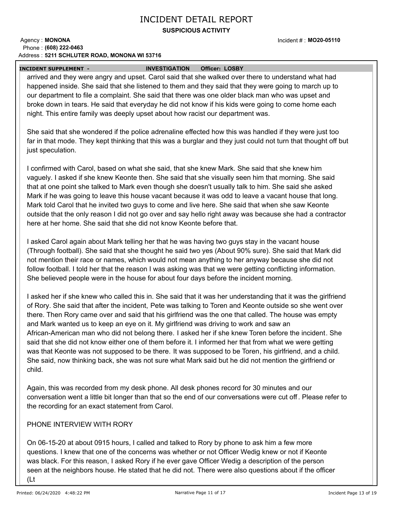### **SUSPICIOUS ACTIVITY**

#### Agency: **MONONA 5211 SCHLUTER ROAD, MONONA WI 53716** Address : Phone : **(608) 222-0463**

Incident # : **MO20-05110**

 **INCIDENT SUPPLEMENT - INVESTIGATION Officer: LOSBY**

arrived and they were angry and upset. Carol said that she walked over there to understand what had happened inside. She said that she listened to them and they said that they were going to march up to our department to file a complaint. She said that there was one older black man who was upset and broke down in tears. He said that everyday he did not know if his kids were going to come home each night. This entire family was deeply upset about how racist our department was.

She said that she wondered if the police adrenaline effected how this was handled if they were just too far in that mode. They kept thinking that this was a burglar and they just could not turn that thought off but just speculation.

I confirmed with Carol, based on what she said, that she knew Mark. She said that she knew him vaguely. I asked if she knew Keonte then. She said that she visually seen him that morning. She said that at one point she talked to Mark even though she doesn't usually talk to him. She said she asked Mark if he was going to leave this house vacant because it was odd to leave a vacant house that long. Mark told Carol that he invited two guys to come and live here. She said that when she saw Keonte outside that the only reason I did not go over and say hello right away was because she had a contractor here at her home. She said that she did not know Keonte before that.

I asked Carol again about Mark telling her that he was having two guys stay in the vacant house (Through football). She said that she thought he said two yes (About 90% sure). She said that Mark did not mention their race or names, which would not mean anything to her anyway because she did not follow football. I told her that the reason I was asking was that we were getting conflicting information. She believed people were in the house for about four days before the incident morning.

I asked her if she knew who called this in. She said that it was her understanding that it was the girlfriend of Rory. She said that after the incident, Pete was talking to Toren and Keonte outside so she went over there. Then Rory came over and said that his girlfriend was the one that called. The house was empty and Mark wanted us to keep an eye on it. My girlfriend was driving to work and saw an African-American man who did not belong there. I asked her if she knew Toren before the incident. She said that she did not know either one of them before it. I informed her that from what we were getting was that Keonte was not supposed to be there. It was supposed to be Toren, his girlfriend, and a child. She said, now thinking back, she was not sure what Mark said but he did not mention the girlfriend or child.

Again, this was recorded from my desk phone. All desk phones record for 30 minutes and our conversation went a little bit longer than that so the end of our conversations were cut off . Please refer to the recording for an exact statement from Carol.

### PHONE INTERVIEW WITH RORY

On 06-15-20 at about 0915 hours, I called and talked to Rory by phone to ask him a few more questions. I knew that one of the concerns was whether or not Officer Wedig knew or not if Keonte was black. For this reason, I asked Rory if he ever gave Officer Wedig a description of the person seen at the neighbors house. He stated that he did not. There were also questions about if the officer (Lt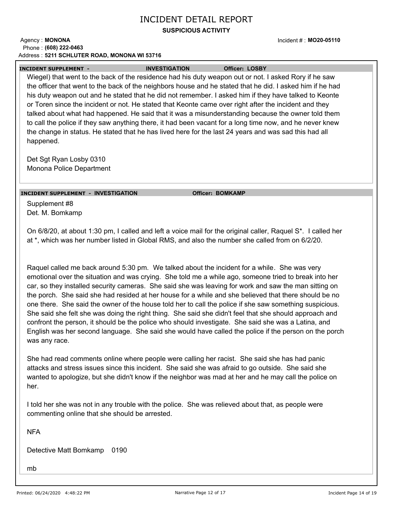### **SUSPICIOUS ACTIVITY**

#### Agency: **MONONA 5211 SCHLUTER ROAD, MONONA WI 53716** Address : Phone : **(608) 222-0463**

Incident # : **MO20-05110**

### **INCIDENT SUPPLEMENT - INVESTIGATION Officer: LOSBY**

Wiegel) that went to the back of the residence had his duty weapon out or not. I asked Rory if he saw the officer that went to the back of the neighbors house and he stated that he did. I asked him if he had his duty weapon out and he stated that he did not remember. I asked him if they have talked to Keonte or Toren since the incident or not. He stated that Keonte came over right after the incident and they talked about what had happened. He said that it was a misunderstanding because the owner told them to call the police if they saw anything there, it had been vacant for a long time now, and he never knew the change in status. He stated that he has lived here for the last 24 years and was sad this had all happened.

Det Sgt Ryan Losby 0310 Monona Police Department

### **INCIDENT SUPPLEMENT - INVESTIGATION Officer: BOMKAMP**

Supplement #8 Det. M. Bomkamp

On 6/8/20, at about 1:30 pm, I called and left a voice mail for the original caller, Raquel S\*. I called her at \*, which was her number listed in Global RMS, and also the number she called from on 6/2/20.

Raquel called me back around 5:30 pm. We talked about the incident for a while. She was very emotional over the situation and was crying. She told me a while ago, someone tried to break into her car, so they installed security cameras. She said she was leaving for work and saw the man sitting on the porch. She said she had resided at her house for a while and she believed that there should be no one there. She said the owner of the house told her to call the police if she saw something suspicious. She said she felt she was doing the right thing. She said she didn't feel that she should approach and confront the person, it should be the police who should investigate. She said she was a Latina, and English was her second language. She said she would have called the police if the person on the porch was any race.

She had read comments online where people were calling her racist. She said she has had panic attacks and stress issues since this incident. She said she was afraid to go outside. She said she wanted to apologize, but she didn't know if the neighbor was mad at her and he may call the police on her.

I told her she was not in any trouble with the police. She was relieved about that, as people were commenting online that she should be arrested.

NFA

Detective Matt Bomkamp 0190

mb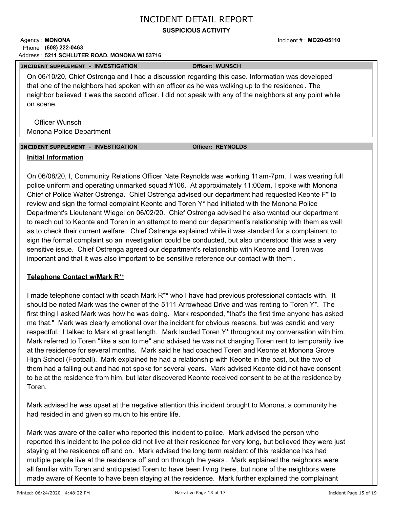### **SUSPICIOUS ACTIVITY**

#### Agency: **MONONA 5211 SCHLUTER ROAD, MONONA WI 53716** Address : Phone : **(608) 222-0463**

#### **INCIDENT SUPPLEMENT - INVESTIGATION Officer: WUNSCH**

On 06/10/20, Chief Ostrenga and I had a discussion regarding this case. Information was developed that one of the neighbors had spoken with an officer as he was walking up to the residence . The neighbor believed it was the second officer. I did not speak with any of the neighbors at any point while on scene.

Officer Wunsch Monona Police Department

### **INCIDENT SUPPLEMENT - INVESTIGATION Officer: REYNOLDS**

### **Initial Information**

On 06/08/20, I, Community Relations Officer Nate Reynolds was working 11am-7pm. I was wearing full police uniform and operating unmarked squad #106. At approximately 11:00am, I spoke with Monona Chief of Police Walter Ostrenga. Chief Ostrenga advised our department had requested Keonte F\* to review and sign the formal complaint Keonte and Toren Y\* had initiated with the Monona Police Department's Lieutenant Wiegel on 06/02/20. Chief Ostrenga advised he also wanted our department to reach out to Keonte and Toren in an attempt to mend our department's relationship with them as well as to check their current welfare. Chief Ostrenga explained while it was standard for a complainant to sign the formal complaint so an investigation could be conducted, but also understood this was a very sensitive issue. Chief Ostrenga agreed our department's relationship with Keonte and Toren was important and that it was also important to be sensitive reference our contact with them .

### **Telephone Contact w/Mark R\*\***

I made telephone contact with coach Mark R\*\* who I have had previous professional contacts with. It should be noted Mark was the owner of the 5111 Arrowhead Drive and was renting to Toren  $Y^*$ . The first thing I asked Mark was how he was doing. Mark responded, "that's the first time anyone has asked me that." Mark was clearly emotional over the incident for obvious reasons, but was candid and very respectful. I talked to Mark at great length. Mark lauded Toren Y\* throughout my conversation with him. Mark referred to Toren "like a son to me" and advised he was not charging Toren rent to temporarily live at the residence for several months. Mark said he had coached Toren and Keonte at Monona Grove High School (Football). Mark explained he had a relationship with Keonte in the past, but the two of them had a falling out and had not spoke for several years. Mark advised Keonte did not have consent to be at the residence from him, but later discovered Keonte received consent to be at the residence by Toren.

Mark advised he was upset at the negative attention this incident brought to Monona, a community he had resided in and given so much to his entire life.

Mark was aware of the caller who reported this incident to police. Mark advised the person who reported this incident to the police did not live at their residence for very long, but believed they were just staying at the residence off and on. Mark advised the long term resident of this residence has had multiple people live at the residence off and on through the years. Mark explained the neighbors were all familiar with Toren and anticipated Toren to have been living there, but none of the neighbors were made aware of Keonte to have been staying at the residence. Mark further explained the complainant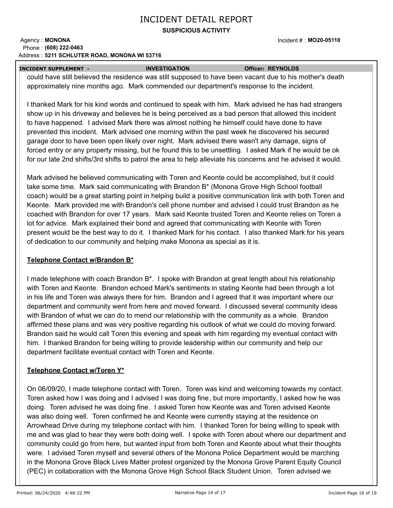### **SUSPICIOUS ACTIVITY**

#### Agency: **MONONA 5211 SCHLUTER ROAD, MONONA WI 53716** Address : Phone : **(608) 222-0463**

 **INCIDENT SUPPLEMENT - INVESTIGATION Officer: REYNOLDS**

could have still believed the residence was still supposed to have been vacant due to his mother's death approximately nine months ago. Mark commended our department's response to the incident.

I thanked Mark for his kind words and continued to speak with him. Mark advised he has had strangers show up in his driveway and believes he is being perceived as a bad person that allowed this incident to have happened. I advised Mark there was almost nothing he himself could have done to have prevented this incident. Mark advised one morning within the past week he discovered his secured garage door to have been open likely over night. Mark advised there wasn't any damage, signs of forced entry or any property missing, but he found this to be unsettling. I asked Mark if he would be ok for our late 2nd shifts/3rd shifts to patrol the area to help alleviate his concerns and he advised it would.

Mark advised he believed communicating with Toren and Keonte could be accomplished, but it could take some time. Mark said communicating with Brandon B\* (Monona Grove High School football coach) would be a great starting point in helping build a positive communication link with both Toren and Keonte. Mark provided me with Brandon's cell phone number and advised I could trust Brandon as he coached with Brandon for over 17 years. Mark said Keonte trusted Toren and Keonte relies on Toren a lot for advice. Mark explained their bond and agreed that communicating with Keonte with Toren present would be the best way to do it. I thanked Mark for his contact. I also thanked Mark for his years of dedication to our community and helping make Monona as special as it is.

### **Telephone Contact w/Brandon B\***

I made telephone with coach Brandon B\*. I spoke with Brandon at great length about his relationship with Toren and Keonte. Brandon echoed Mark's sentiments in stating Keonte had been through a lot in his life and Toren was always there for him. Brandon and I agreed that it was important where our department and community went from here and moved forward. I discussed several community ideas with Brandon of what we can do to mend our relationship with the community as a whole. Brandon affirmed these plans and was very positive regarding his outlook of what we could do moving forward. Brandon said he would call Toren this evening and speak with him regarding my eventual contact with him. I thanked Brandon for being willing to provide leadership within our community and help our department facilitate eventual contact with Toren and Keonte.

### **Telephone Contact w/Toren Y\***

On 06/09/20, I made telephone contact with Toren. Toren was kind and welcoming towards my contact. Toren asked how I was doing and I advised I was doing fine, but more importantly, I asked how he was doing. Toren advised he was doing fine. I asked Toren how Keonte was and Toren advised Keonte was also doing well. Toren confirmed he and Keonte were currently staying at the residence on Arrowhead Drive during my telephone contact with him. I thanked Toren for being willing to speak with me and was glad to hear they were both doing well. I spoke with Toren about where our department and community could go from here, but wanted input from both Toren and Keonte about what their thoughts were. I advised Toren myself and several others of the Monona Police Department would be marching in the Monona Grove Black Lives Matter protest organized by the Monona Grove Parent Equity Council (PEC) in collaboration with the Monona Grove High School Black Student Union. Toren advised we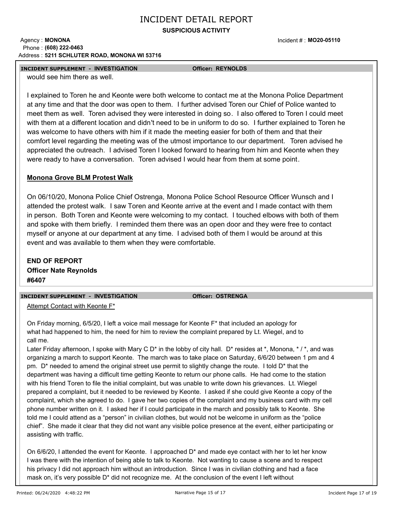### **SUSPICIOUS ACTIVITY**

#### Agency: **MONONA 5211 SCHLUTER ROAD, MONONA WI 53716** Address : Phone : **(608) 222-0463**

Incident # : **MO20-05110**

### **INCIDENT SUPPLEMENT - INVESTIGATION Officer: REYNOLDS**

would see him there as well.

I explained to Toren he and Keonte were both welcome to contact me at the Monona Police Department at any time and that the door was open to them. I further advised Toren our Chief of Police wanted to meet them as well. Toren advised they were interested in doing so. I also offered to Toren I could meet with them at a different location and didn't need to be in uniform to do so. I further explained to Toren he was welcome to have others with him if it made the meeting easier for both of them and that their comfort level regarding the meeting was of the utmost importance to our department. Toren advised he appreciated the outreach. I advised Toren I looked forward to hearing from him and Keonte when they were ready to have a conversation. Toren advised I would hear from them at some point.

### **Monona Grove BLM Protest Walk**

On 06/10/20, Monona Police Chief Ostrenga, Monona Police School Resource Officer Wunsch and I attended the protest walk. I saw Toren and Keonte arrive at the event and I made contact with them in person. Both Toren and Keonte were welcoming to my contact. I touched elbows with both of them and spoke with them briefly. I reminded them there was an open door and they were free to contact myself or anyone at our department at any time. I advised both of them I would be around at this event and was available to them when they were comfortable.

**END OF REPORT Officer Nate Reynolds #6407**

#### **INCIDENT SUPPLEMENT - INVESTIGATION Officer: OSTRENGA**

Attempt Contact with Keonte F\*

On Friday morning, 6/5/20, I left a voice mail message for Keonte F\* that included an apology for what had happened to him, the need for him to review the complaint prepared by Lt. Wiegel, and to call me.

Later Friday afternoon, I spoke with Mary C D<sup>\*</sup> in the lobby of city hall. D<sup>\*</sup> resides at  $*$ , Monona,  $* / *$ , and was organizing a march to support Keonte. The march was to take place on Saturday, 6/6/20 between 1 pm and 4 pm. D\* needed to amend the original street use permit to slightly change the route. I told D\* that the department was having a difficult time getting Keonte to return our phone calls. He had come to the station with his friend Toren to file the initial complaint, but was unable to write down his grievances. Lt. Wiegel prepared a complaint, but it needed to be reviewed by Keonte. I asked if she could give Keonte a copy of the complaint, which she agreed to do. I gave her two copies of the complaint and my business card with my cell phone number written on it. I asked her if I could participate in the march and possibly talk to Keonte. She told me I could attend as a "person" in civilian clothes, but would not be welcome in uniform as the "police chief". She made it clear that they did not want any visible police presence at the event, either participating or assisting with traffic.

On 6/6/20, I attended the event for Keonte. I approached D\* and made eye contact with her to let her know I was there with the intention of being able to talk to Keonte. Not wanting to cause a scene and to respect his privacy I did not approach him without an introduction. Since I was in civilian clothing and had a face mask on, it's very possible D\* did not recognize me. At the conclusion of the event I left without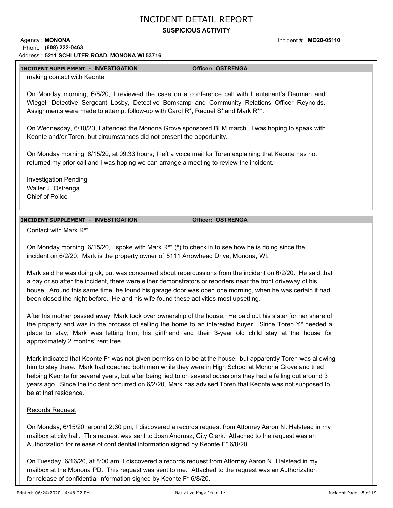### **SUSPICIOUS ACTIVITY**

#### Agency: **MONONA 5211 SCHLUTER ROAD, MONONA WI 53716** Address : Phone : **(608) 222-0463**

#### **INCIDENT SUPPLEMENT - INVESTIGATION Officer: OSTRENGA**

Incident # : **MO20-05110**

making contact with Keonte.

On Monday morning, 6/8/20, I reviewed the case on a conference call with Lieutenant's Deuman and Wiegel, Detective Sergeant Losby, Detective Bomkamp and Community Relations Officer Reynolds. Assignments were made to attempt follow-up with Carol  $R^*$ , Raquel S<sup>\*</sup> and Mark  $R^{**}$ .

On Wednesday, 6/10/20, I attended the Monona Grove sponsored BLM march. I was hoping to speak with Keonte and/or Toren, but circumstances did not present the opportunity.

On Monday morning, 6/15/20, at 09:33 hours, I left a voice mail for Toren explaining that Keonte has not returned my prior call and I was hoping we can arrange a meeting to review the incident.

Investigation Pending Walter J. Ostrenga Chief of Police

### **INCIDENT SUPPLEMENT - INVESTIGATION Officer: OSTRENGA**

Contact with Mark R\*\*

On Monday morning, 6/15/20, I spoke with Mark R\*\* (\*) to check in to see how he is doing since the incident on 6/2/20. Mark is the property owner of 5111 Arrowhead Drive, Monona, WI.

Mark said he was doing ok, but was concerned about repercussions from the incident on 6/2/20. He said that a day or so after the incident, there were either demonstrators or reporters near the front driveway of his house. Around this same time, he found his garage door was open one morning, when he was certain it had been closed the night before. He and his wife found these activities most upsetting.

After his mother passed away, Mark took over ownership of the house. He paid out his sister for her share of the property and was in the process of selling the home to an interested buyer. Since Toren Y\* needed a place to stay, Mark was letting him, his girlfriend and their 3-year old child stay at the house for approximately 2 months' rent free.

Mark indicated that Keonte F\* was not given permission to be at the house, but apparently Toren was allowing him to stay there. Mark had coached both men while they were in High School at Monona Grove and tried helping Keonte for several years, but after being lied to on several occasions they had a falling out around 3 years ago. Since the incident occurred on 6/2/20, Mark has advised Toren that Keonte was not supposed to be at that residence.

#### Records Request

On Monday, 6/15/20, around 2:30 pm, I discovered a records request from Attorney Aaron N. Halstead in my mailbox at city hall. This request was sent to Joan Andrusz, City Clerk. Attached to the request was an Authorization for release of confidential information signed by Keonte F\* 6/8/20.

On Tuesday, 6/16/20, at 8:00 am, I discovered a records request from Attorney Aaron N. Halstead in my mailbox at the Monona PD. This request was sent to me. Attached to the request was an Authorization for release of confidential information signed by Keonte F\* 6/8/20.